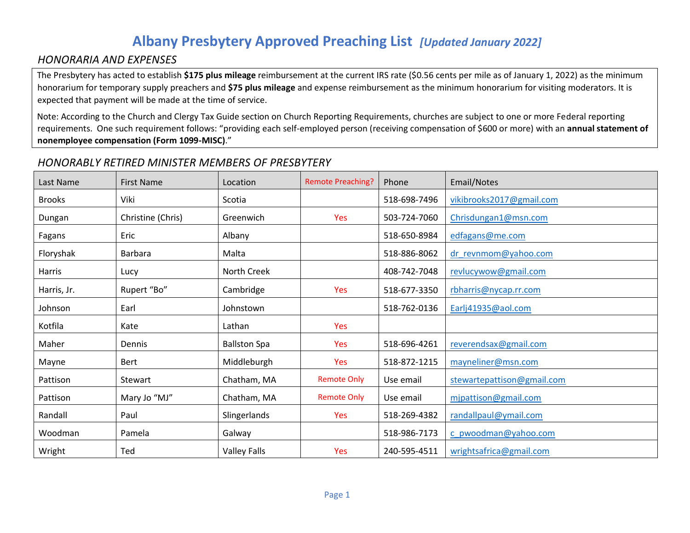## **Albany Presbytery Approved Preaching List** *[Updated January 2022]*

#### *HONORARIA AND EXPENSES*

The Presbytery has acted to establish **\$175 plus mileage** reimbursement at the current IRS rate (\$0.56 cents per mile as of January 1, 2022) as the minimum honorarium for temporary supply preachers and **\$75 plus mileage** and expense reimbursement as the minimum honorarium for visiting moderators. It is expected that payment will be made at the time of service.

Note: According to the Church and Clergy Tax Guide section on Church Reporting Requirements, churches are subject to one or more Federal reporting requirements. One such requirement follows: "providing each self-employed person (receiving compensation of \$600 or more) with an **annual statement of nonemployee compensation (Form 1099-MISC)**."

#### *HONORABLY RETIRED MINISTER MEMBERS OF PRESBYTERY*

| Last Name     | <b>First Name</b> | Location            | <b>Remote Preaching?</b> | Phone        | Email/Notes                |
|---------------|-------------------|---------------------|--------------------------|--------------|----------------------------|
| <b>Brooks</b> | Viki              | Scotia              |                          | 518-698-7496 | vikibrooks2017@gmail.com   |
| Dungan        | Christine (Chris) | Greenwich           | Yes                      | 503-724-7060 | Chrisdungan1@msn.com       |
| Fagans        | Eric              | Albany              |                          | 518-650-8984 | edfagans@me.com            |
| Floryshak     | <b>Barbara</b>    | Malta               |                          | 518-886-8062 | dr_revnmom@yahoo.com       |
| <b>Harris</b> | Lucy              | North Creek         |                          | 408-742-7048 | revlucywow@gmail.com       |
| Harris, Jr.   | Rupert "Bo"       | Cambridge           | Yes                      | 518-677-3350 | rbharris@nycap.rr.com      |
| Johnson       | Earl              | Johnstown           |                          | 518-762-0136 | Earlj41935@aol.com         |
| Kotfila       | Kate              | Lathan              | Yes                      |              |                            |
| Maher         | Dennis            | <b>Ballston Spa</b> | <b>Yes</b>               | 518-696-4261 | reverendsax@gmail.com      |
| Mayne         | Bert              | Middleburgh         | <b>Yes</b>               | 518-872-1215 | mayneliner@msn.com         |
| Pattison      | <b>Stewart</b>    | Chatham, MA         | <b>Remote Only</b>       | Use email    | stewartepattison@gmail.com |
| Pattison      | Mary Jo "MJ"      | Chatham, MA         | <b>Remote Only</b>       | Use email    | mjpattison@gmail.com       |
| Randall       | Paul              | Slingerlands        | <b>Yes</b>               | 518-269-4382 | randallpaul@ymail.com      |
| Woodman       | Pamela            | Galway              |                          | 518-986-7173 | c_pwoodman@yahoo.com       |
| Wright        | Ted               | <b>Valley Falls</b> | Yes                      | 240-595-4511 | wrightsafrica@gmail.com    |